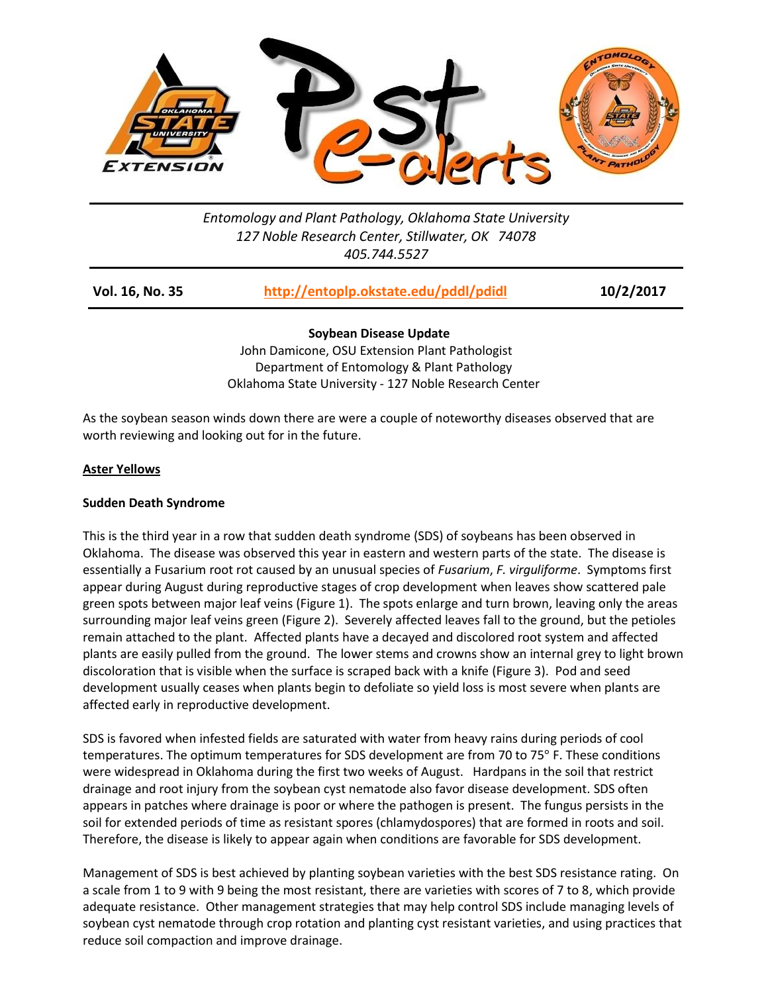

# *Entomology and Plant Pathology, Oklahoma State University 127 Noble Research Center, Stillwater, OK 74078 405.744.5527*

| Vol. 16, No. 35 | http://entoplp.okstate.edu/pddl/pdidl | 10/2/2017 |
|-----------------|---------------------------------------|-----------|
|                 |                                       |           |

**Soybean Disease Update**

 John Damicone, OSU Extension Plant Pathologist Department of Entomology & Plant Pathology Oklahoma State University - 127 Noble Research Center

As the soybean season winds down there are were a couple of noteworthy diseases observed that are worth reviewing and looking out for in the future.

## **Aster Yellows**

### **Sudden Death Syndrome**

This is the third year in a row that sudden death syndrome (SDS) of soybeans has been observed in Oklahoma. The disease was observed this year in eastern and western parts of the state. The disease is essentially a Fusarium root rot caused by an unusual species of *Fusarium*, *F. virguliforme*. Symptoms first appear during August during reproductive stages of crop development when leaves show scattered pale green spots between major leaf veins (Figure 1). The spots enlarge and turn brown, leaving only the areas surrounding major leaf veins green (Figure 2). Severely affected leaves fall to the ground, but the petioles remain attached to the plant. Affected plants have a decayed and discolored root system and affected plants are easily pulled from the ground. The lower stems and crowns show an internal grey to light brown discoloration that is visible when the surface is scraped back with a knife (Figure 3). Pod and seed development usually ceases when plants begin to defoliate so yield loss is most severe when plants are affected early in reproductive development.

SDS is favored when infested fields are saturated with water from heavy rains during periods of cool temperatures. The optimum temperatures for SDS development are from 70 to 75° F. These conditions were widespread in Oklahoma during the first two weeks of August. Hardpans in the soil that restrict drainage and root injury from the soybean cyst nematode also favor disease development. SDS often appears in patches where drainage is poor or where the pathogen is present. The fungus persists in the soil for extended periods of time as resistant spores (chlamydospores) that are formed in roots and soil. Therefore, the disease is likely to appear again when conditions are favorable for SDS development.

Management of SDS is best achieved by planting soybean varieties with the best SDS resistance rating. On a scale from 1 to 9 with 9 being the most resistant, there are varieties with scores of 7 to 8, which provide adequate resistance. Other management strategies that may help control SDS include managing levels of soybean cyst nematode through crop rotation and planting cyst resistant varieties, and using practices that reduce soil compaction and improve drainage.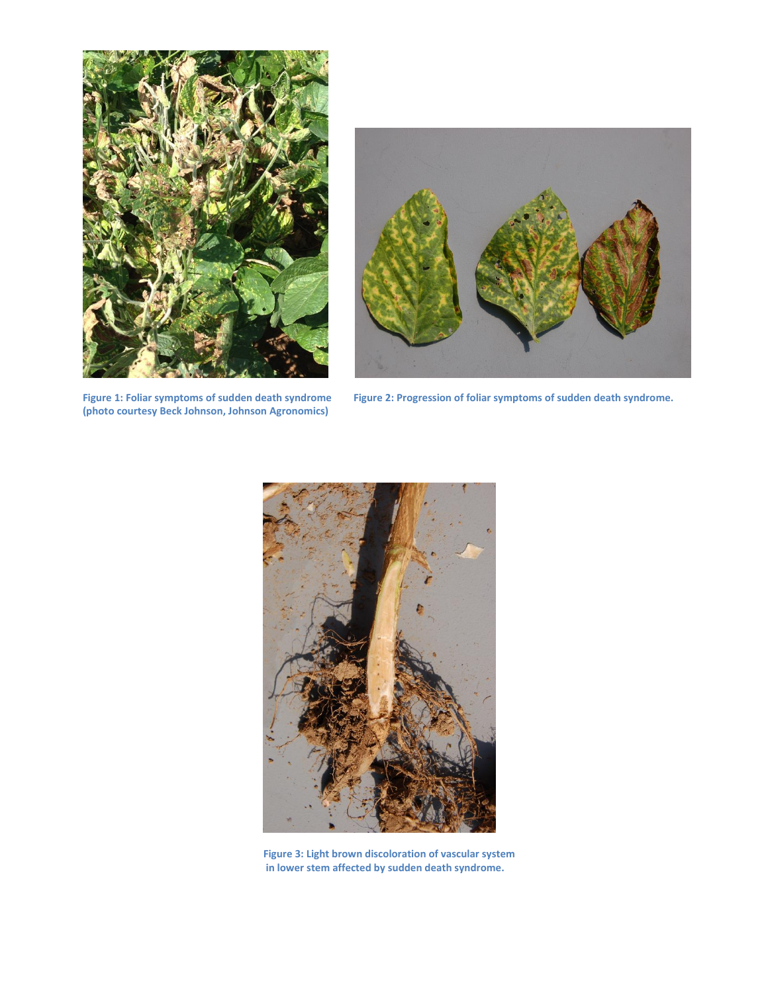

**(photo courtesy Beck Johnson, Johnson Agronomics)**



**Figure 1: Foliar symptoms of sudden death syndrome Figure 2: Progression of foliar symptoms of sudden death syndrome.**



**Figure 3: Light brown discoloration of vascular system in lower stem affected by sudden death syndrome.**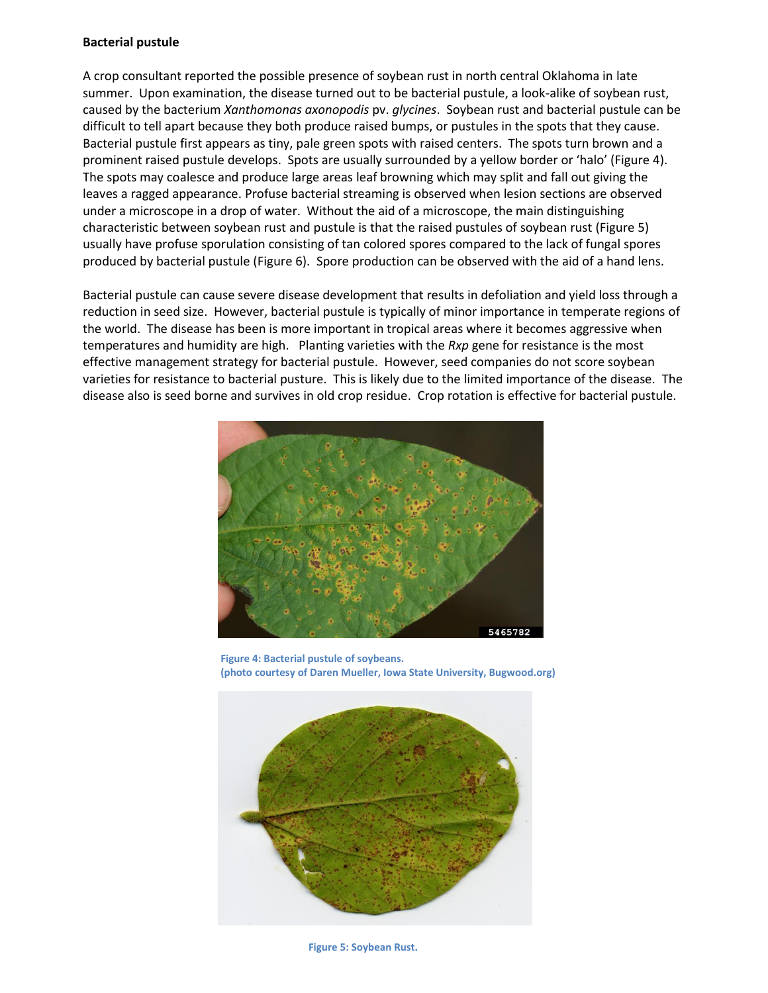#### **Bacterial pustule**

A crop consultant reported the possible presence of soybean rust in north central Oklahoma in late summer. Upon examination, the disease turned out to be bacterial pustule, a look-alike of soybean rust, caused by the bacterium *Xanthomonas axonopodis* pv. *glycines*. Soybean rust and bacterial pustule can be difficult to tell apart because they both produce raised bumps, or pustules in the spots that they cause. Bacterial pustule first appears as tiny, pale green spots with raised centers. The spots turn brown and a prominent raised pustule develops. Spots are usually surrounded by a yellow border or 'halo' (Figure 4). The spots may coalesce and produce large areas leaf browning which may split and fall out giving the leaves a ragged appearance. Profuse bacterial streaming is observed when lesion sections are observed under a microscope in a drop of water. Without the aid of a microscope, the main distinguishing characteristic between soybean rust and pustule is that the raised pustules of soybean rust (Figure 5) usually have profuse sporulation consisting of tan colored spores compared to the lack of fungal spores produced by bacterial pustule (Figure 6). Spore production can be observed with the aid of a hand lens.

Bacterial pustule can cause severe disease development that results in defoliation and yield loss through a reduction in seed size. However, bacterial pustule is typically of minor importance in temperate regions of the world. The disease has been is more important in tropical areas where it becomes aggressive when temperatures and humidity are high. Planting varieties with the *Rxp* gene for resistance is the most effective management strategy for bacterial pustule. However, seed companies do not score soybean varieties for resistance to bacterial pusture. This is likely due to the limited importance of the disease. The disease also is seed borne and survives in old crop residue. Crop rotation is effective for bacterial pustule.



**Figure 4: Bacterial pustule of soybeans. (photo courtesy of Daren Mueller, Iowa State University, Bugwood.org)**



**Figure 5: Soybean Rust.**